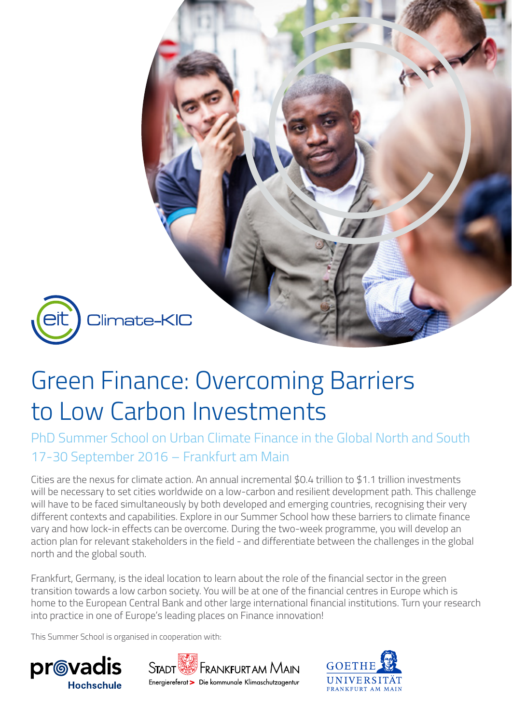

# Green Finance: Overcoming Barriers to Low Carbon Investments

PhD Summer School on Urban Climate Finance in the Global North and South 17-30 September 2016 – Frankfurt am Main

Cities are the nexus for climate action. An annual incremental \$0.4 trillion to \$1.1 trillion investments will be necessary to set cities worldwide on a low-carbon and resilient development path. This challenge will have to be faced simultaneously by both developed and emerging countries, recognising their very different contexts and capabilities. Explore in our Summer School how these barriers to climate finance vary and how lock-in effects can be overcome. During the two-week programme, you will develop an action plan for relevant stakeholders in the field - and differentiate between the challenges in the global north and the global south.

Frankfurt, Germany, is the ideal location to learn about the role of the financial sector in the green transition towards a low carbon society. You will be at one of the financial centres in Europe which is home to the European Central Bank and other large international financial institutions. Turn your research into practice in one of Europe's leading places on Finance innovation!

This Summer School is organised in cooperation with:





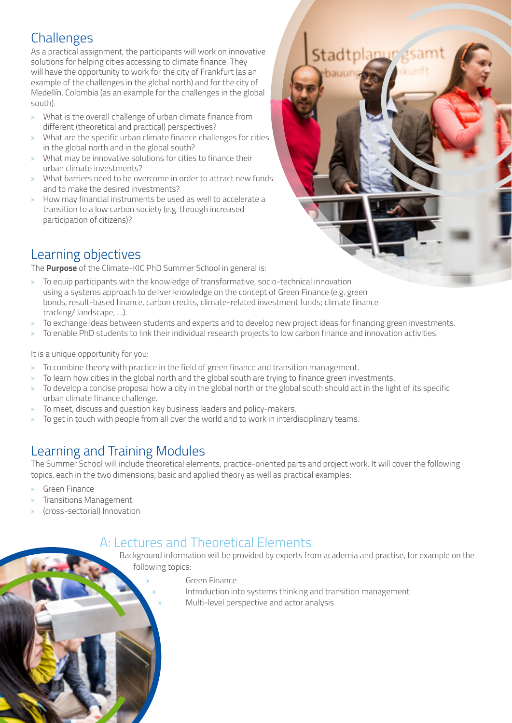## **Challenges**

As a practical assignment, the participants will work on innovative solutions for helping cities accessing to climate finance. They will have the opportunity to work for the city of Frankfurt (as an example of the challenges in the global north) and for the city of Medellín, Colombia (as an example for the challenges in the global south).

- » What is the overall challenge of urban climate finance from different (theoretical and practical) perspectives?
- » What are the specific urban climate finance challenges for cities in the global north and in the global south?
- » What may be innovative solutions for cities to finance their urban climate investments?
- » What barriers need to be overcome in order to attract new funds and to make the desired investments?
- » How may financial instruments be used as well to accelerate a transition to a low carbon society (e.g. through increased participation of citizens)?



## Learning objectives

The **Purpose** of the Climate-KIC PhD Summer School in general is:

- » To equip participants with the knowledge of transformative, socio-technical innovation using a systems approach to deliver knowledge on the concept of Green Finance (e.g. green bonds, result-based finance, carbon credits, climate-related investment funds; climate finance tracking/ landscape, …).
- » To exchange ideas between students and experts and to develop new project ideas for financing green investments.
- » To enable PhD students to link their individual research projects to low carbon finance and innovation activities.

It is a unique opportunity for you:

- » To combine theory with practice in the field of green finance and transition management.
- » To learn how cities in the global north and the global south are trying to finance green investments.
- » To develop a concise proposal how a city in the global north or the global south should act in the light of its specific urban climate finance challenge.
- » To meet, discuss and question key business leaders and policy-makers.
- » To get in touch with people from all over the world and to work in interdisciplinary teams.

## Learning and Training Modules

The Summer School will include theoretical elements, practice-oriented parts and project work. It will cover the following topics, each in the two dimensions, basic and applied theory as well as practical examples:

- » Green Finance
- » Transitions Management
- » (cross-sectorial) Innovation

#### A: Lectures and Theoretical Elements

Background information will be provided by experts from academia and practise, for example on the following topics:

» Green Finance

Introduction into systems thinking and transition management » Multi-level perspective and actor analysis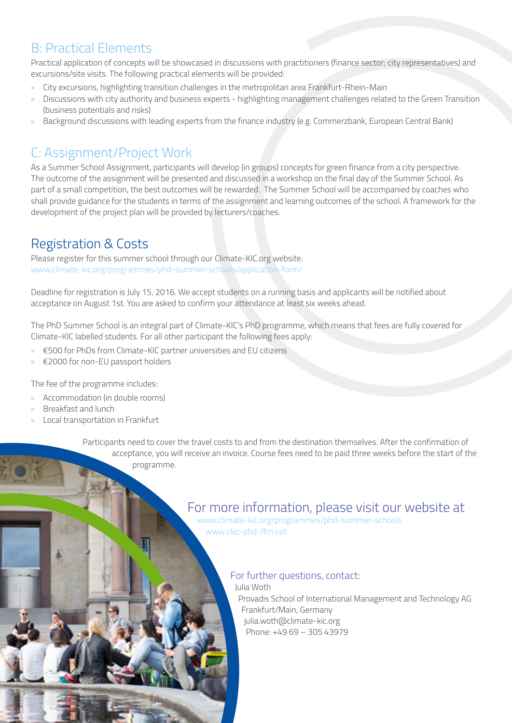#### B: Practical Elements

Practical application of concepts will be showcased in discussions with practitioners (finance sector; city representatives) and excursions/site visits. The following practical elements will be provided:

- » City excursions, highlighting transition challenges in the metropolitan area Frankfurt-Rhein-Main
- » Discussions with city authority and business experts highlighting management challenges related to the Green Transition (business potentials and risks)
- » Background discussions with leading experts from the finance industry (e.g. Commerzbank, European Central Bank)

# C: Assignment/Project Work

As a Summer School Assignment, participants will develop (in groups) concepts for green finance from a city perspective. The outcome of the assignment will be presented and discussed in a workshop on the final day of the Summer School. As part of a small competition, the best outcomes will be rewarded. The Summer School will be accompanied by coaches who shall provide guidance for the students in terms of the assignment and learning outcomes of the school. A framework for the development of the project plan will be provided by lecturers/coaches.

## Registration & Costs

Please register for this summer school through our Climate-KIC.org website. [www.climate-kic.org/programmes/phd-summer-schools/application-form/](http://www.climate-kic.org/programmes/phd-summer-schools/application-form/)

Deadline for registration is July 15, 2016. We accept students on a running basis and applicants will be notified about acceptance on August 1st. You are asked to confirm your attendance at least six weeks ahead.

The PhD Summer School is an integral part of Climate-KIC's PhD programme, which means that fees are fully covered for Climate-KIC labelled students. For all other participant the following fees apply:

- » €500 for PhDs from Climate-KIC partner universities and EU citizens
- » €2000 for non-EU passport holders

The fee of the programme includes:

- » Accommodation (in double rooms)
- » Breakfast and lunch
- » Local transportation in Frankfurt

Participants need to cover the travel costs to and from the destination themselves. After the confirmation of acceptance, you will receive an invoice. Course fees need to be paid three weeks before the start of the programme.

## For more information, please visit our website at

[www.climate-kic.org/programmes/phd-summer-schools](http://www.climate-kic.org/programmes/phd-summer-schools) [www.ckic-phd-ffm.net](http://www.ckic-phd-ffm.net)

#### For further questions, contact:

Julia Woth Provadis School of International Management and Technology AG Frankfurt/Main, Germany julia.woth@climate-kic.org Phone: +49 69 – 305 43979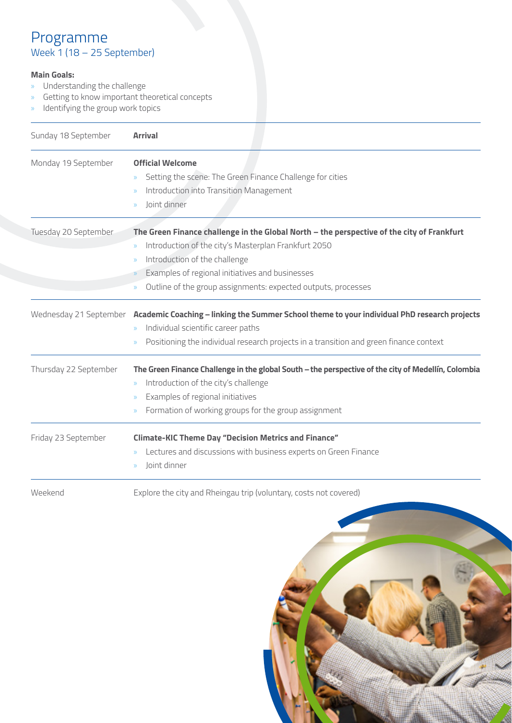#### Programme Week 1 (18 – 25 September)

#### **Main Goals:**

- » Understanding the challenge
- » Getting to know important theoretical concepts
- » Identifying the group work topics

| Sunday 18 September   | <b>Arrival</b>                                                                                                                                                                                                                                                                                                           |
|-----------------------|--------------------------------------------------------------------------------------------------------------------------------------------------------------------------------------------------------------------------------------------------------------------------------------------------------------------------|
| Monday 19 September   | <b>Official Welcome</b><br>Setting the scene: The Green Finance Challenge for cities<br>$\mathcal{Y}$<br>Introduction into Transition Management<br>Joint dinner<br>$\mathcal{D}$                                                                                                                                        |
| Tuesday 20 September  | The Green Finance challenge in the Global North - the perspective of the city of Frankfurt<br>Introduction of the city's Masterplan Frankfurt 2050<br>$\mathcal{Y}$<br>Introduction of the challenge<br>Examples of regional initiatives and businesses<br>Outline of the group assignments: expected outputs, processes |
|                       | Wednesday 21 September Academic Coaching - linking the Summer School theme to your individual PhD research projects<br>Individual scientific career paths<br>Positioning the individual research projects in a transition and green finance context                                                                      |
| Thursday 22 September | The Green Finance Challenge in the global South - the perspective of the city of Medellín, Colombia<br>Introduction of the city's challenge<br>$\rangle\!\rangle$<br>Examples of regional initiatives<br>Formation of working groups for the group assignment<br>$\mathcal{Y}$                                           |
| Friday 23 September   | <b>Climate-KIC Theme Day "Decision Metrics and Finance"</b><br>Lectures and discussions with business experts on Green Finance<br>Joint dinner<br>$\mathcal{D}$                                                                                                                                                          |
| Weekend               | Explore the city and Rheingau trip (voluntary, costs not covered)                                                                                                                                                                                                                                                        |